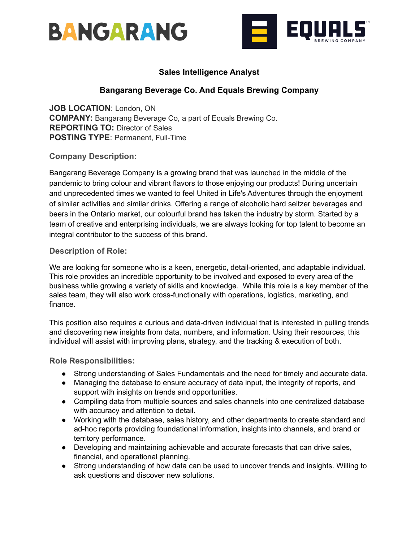



# **Sales Intelligence Analyst**

# **Bangarang Beverage Co. And Equals Brewing Company**

**JOB LOCATION**: London, ON **COMPANY:** Bangarang Beverage Co, a part of Equals Brewing Co. **REPORTING TO:** Director of Sales **POSTING TYPE: Permanent, Full-Time** 

**Company Description:**

Bangarang Beverage Company is a growing brand that was launched in the middle of the pandemic to bring colour and vibrant flavors to those enjoying our products! During uncertain and unprecedented times we wanted to feel United in Life's Adventures through the enjoyment of similar activities and similar drinks. Offering a range of alcoholic hard seltzer beverages and beers in the Ontario market, our colourful brand has taken the industry by storm. Started by a team of creative and enterprising individuals, we are always looking for top talent to become an integral contributor to the success of this brand.

### **Description of Role:**

We are looking for someone who is a keen, energetic, detail-oriented, and adaptable individual. This role provides an incredible opportunity to be involved and exposed to every area of the business while growing a variety of skills and knowledge. While this role is a key member of the sales team, they will also work cross-functionally with operations, logistics, marketing, and finance.

This position also requires a curious and data-driven individual that is interested in pulling trends and discovering new insights from data, numbers, and information. Using their resources, this individual will assist with improving plans, strategy, and the tracking & execution of both.

**Role Responsibilities:**

- Strong understanding of Sales Fundamentals and the need for timely and accurate data.
- Managing the database to ensure accuracy of data input, the integrity of reports, and support with insights on trends and opportunities.
- Compiling data from multiple sources and sales channels into one centralized database with accuracy and attention to detail.
- Working with the database, sales history, and other departments to create standard and ad-hoc reports providing foundational information, insights into channels, and brand or territory performance.
- Developing and maintaining achievable and accurate forecasts that can drive sales, financial, and operational planning.
- Strong understanding of how data can be used to uncover trends and insights. Willing to ask questions and discover new solutions.